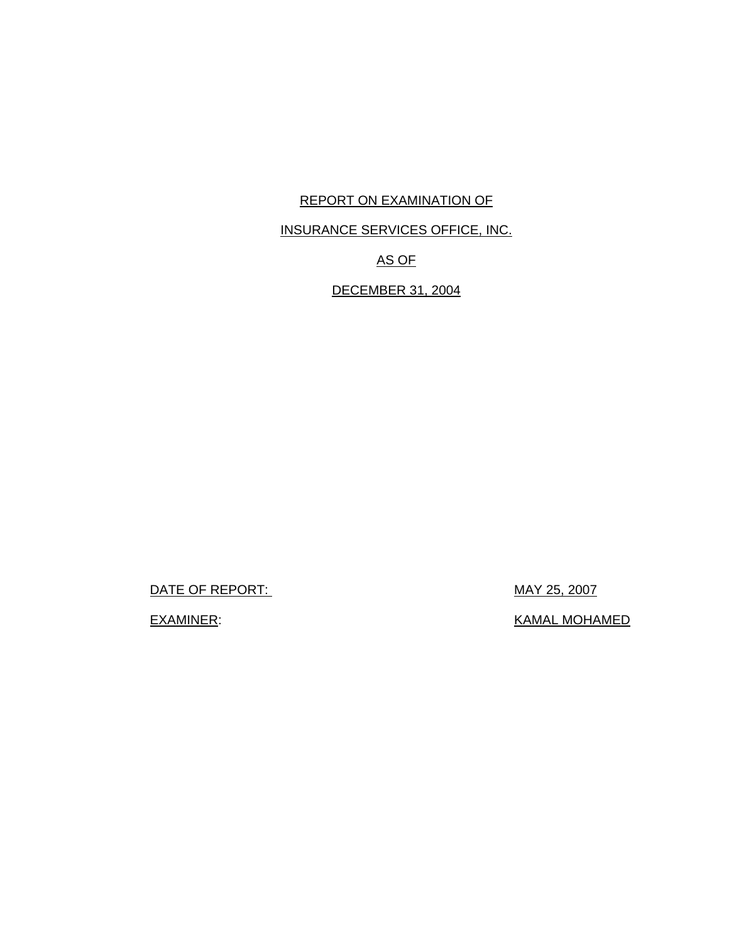# REPORT ON EXAMINATION OF

# INSURANCE SERVICES OFFICE, INC.

# AS OF

# DECEMBER 31, 2004

DATE OF REPORT: MAY 25, 2007

EXAMINER: EXAMINER: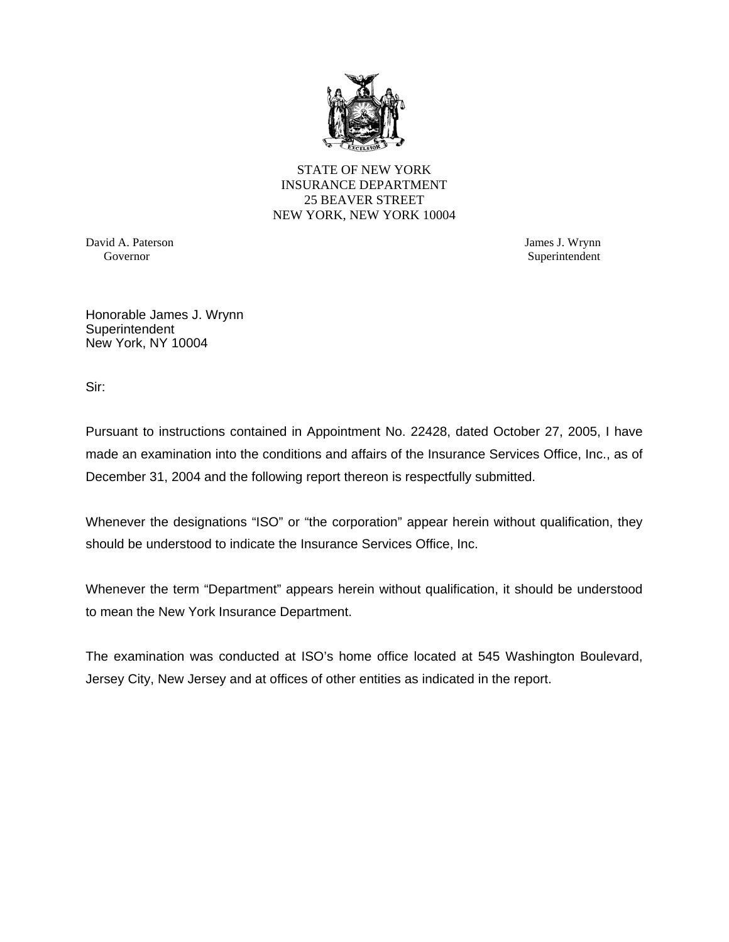

STATE OF NEW YORK INSURANCE DEPARTMENT 25 BEAVER STREET NEW YORK, NEW YORK 10004

David A. Paterson James J. Wrynn

Governor Superintendent Superintendent Superintendent Superintendent Superintendent Superintendent Superintendent Superintendent Superintendent Superintendent Superintendent Superintendent Superintendent Superintendent Sup

Honorable James J. Wrynn **Superintendent** New York, NY 10004

Sir:

Pursuant to instructions contained in Appointment No. 22428, dated October 27, 2005, I have made an examination into the conditions and affairs of the Insurance Services Office, Inc., as of December 31, 2004 and the following report thereon is respectfully submitted.

Whenever the designations "ISO" or "the corporation" appear herein without qualification, they should be understood to indicate the Insurance Services Office, Inc.

Whenever the term "Department" appears herein without qualification, it should be understood to mean the New York Insurance Department.

The examination was conducted at ISO's home office located at 545 Washington Boulevard, Jersey City, New Jersey and at offices of other entities as indicated in the report.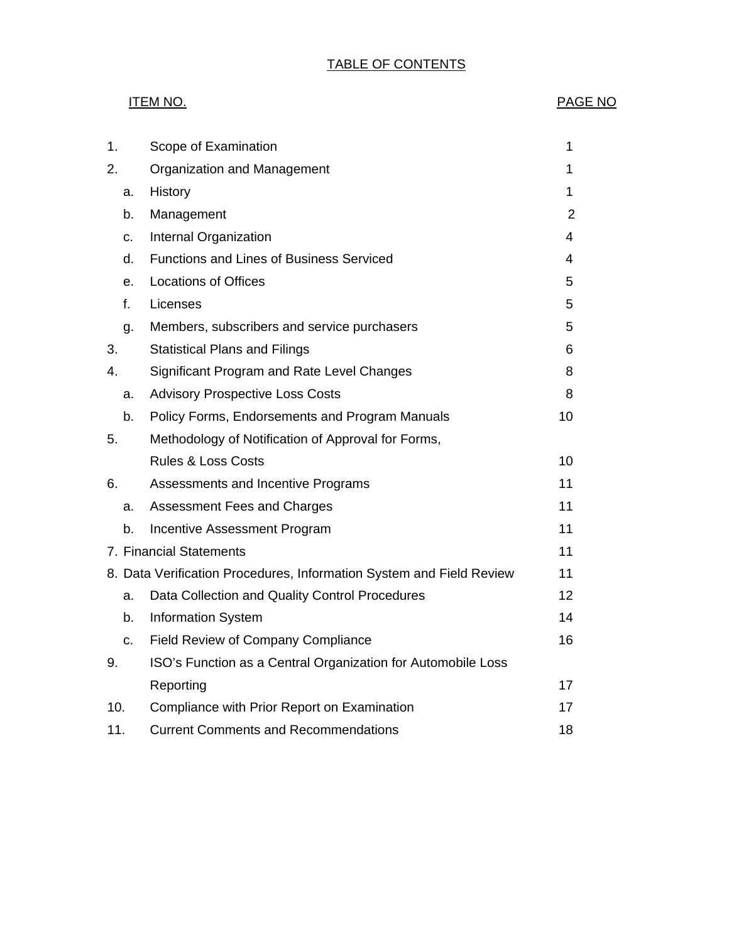# TABLE OF CONTENTS

## ITEM NO. PAGE NO

| 1.  |                         | Scope of Examination                                                 | 1              |  |  |  |  |
|-----|-------------------------|----------------------------------------------------------------------|----------------|--|--|--|--|
| 2.  |                         | Organization and Management                                          | 1              |  |  |  |  |
|     | a.                      | History                                                              | 1              |  |  |  |  |
|     | b.                      | Management                                                           | $\overline{2}$ |  |  |  |  |
|     | C.                      | Internal Organization                                                | 4              |  |  |  |  |
|     | d.                      | <b>Functions and Lines of Business Serviced</b>                      | 4              |  |  |  |  |
|     | е.                      | <b>Locations of Offices</b>                                          | 5              |  |  |  |  |
|     | f.                      | Licenses                                                             | 5              |  |  |  |  |
|     | g.                      | Members, subscribers and service purchasers                          | 5              |  |  |  |  |
| 3.  |                         | <b>Statistical Plans and Filings</b>                                 | 6              |  |  |  |  |
| 4.  |                         | Significant Program and Rate Level Changes                           | 8              |  |  |  |  |
|     | a.                      | <b>Advisory Prospective Loss Costs</b>                               | 8              |  |  |  |  |
|     | b.                      | Policy Forms, Endorsements and Program Manuals                       | 10             |  |  |  |  |
| 5.  |                         | Methodology of Notification of Approval for Forms,                   |                |  |  |  |  |
|     |                         | <b>Rules &amp; Loss Costs</b>                                        | 10             |  |  |  |  |
| 6.  |                         | Assessments and Incentive Programs                                   | 11             |  |  |  |  |
|     | a.                      | <b>Assessment Fees and Charges</b>                                   | 11             |  |  |  |  |
|     | b.                      | Incentive Assessment Program                                         | 11             |  |  |  |  |
|     | 7. Financial Statements |                                                                      |                |  |  |  |  |
|     |                         | 8. Data Verification Procedures, Information System and Field Review | 11             |  |  |  |  |
|     | a.                      | Data Collection and Quality Control Procedures                       | 12             |  |  |  |  |
|     | b.                      | <b>Information System</b>                                            | 14             |  |  |  |  |
|     | c.                      | Field Review of Company Compliance                                   | 16             |  |  |  |  |
| 9.  |                         | ISO's Function as a Central Organization for Automobile Loss         |                |  |  |  |  |
|     |                         | Reporting                                                            | 17             |  |  |  |  |
| 10. |                         | Compliance with Prior Report on Examination                          | 17             |  |  |  |  |
| 11. |                         | <b>Current Comments and Recommendations</b>                          |                |  |  |  |  |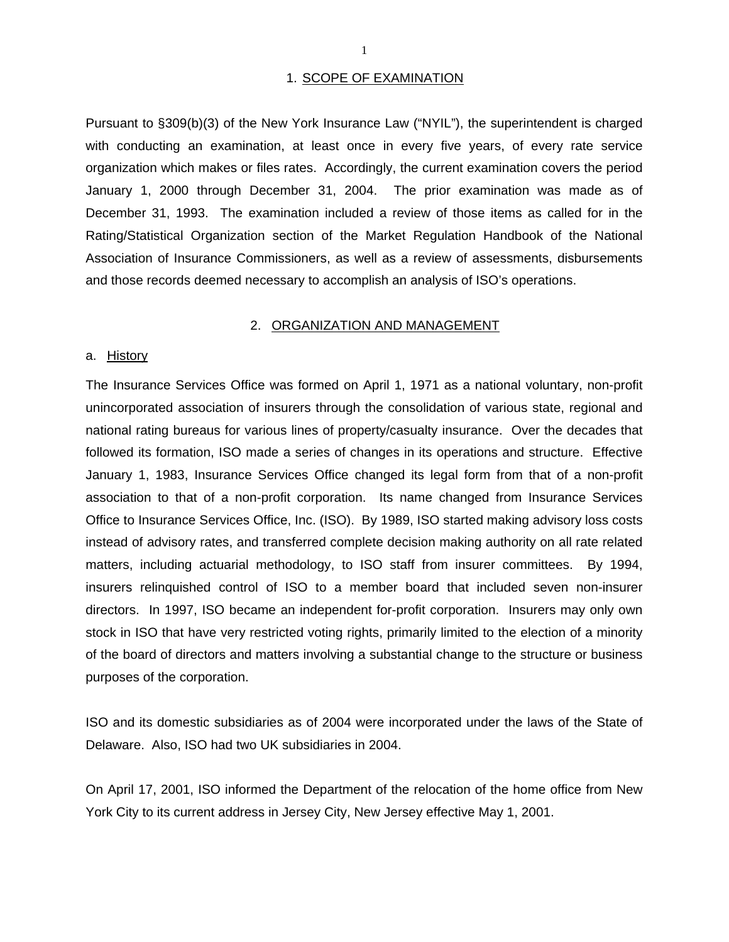#### 1. SCOPE OF EXAMINATION

Pursuant to §309(b)(3) of the New York Insurance Law ("NYIL"), the superintendent is charged with conducting an examination, at least once in every five years, of every rate service organization which makes or files rates. Accordingly, the current examination covers the period January 1, 2000 through December 31, 2004. The prior examination was made as of December 31, 1993. The examination included a review of those items as called for in the Rating/Statistical Organization section of the Market Regulation Handbook of the National Association of Insurance Commissioners, as well as a review of assessments, disbursements and those records deemed necessary to accomplish an analysis of ISO's operations.

#### 2. ORGANIZATION AND MANAGEMENT

#### a. <u>History</u>

The Insurance Services Office was formed on April 1, 1971 as a national voluntary, non-profit unincorporated association of insurers through the consolidation of various state, regional and national rating bureaus for various lines of property/casualty insurance. Over the decades that followed its formation, ISO made a series of changes in its operations and structure. Effective January 1, 1983, Insurance Services Office changed its legal form from that of a non-profit association to that of a non-profit corporation. Its name changed from Insurance Services Office to Insurance Services Office, Inc. (ISO). By 1989, ISO started making advisory loss costs instead of advisory rates, and transferred complete decision making authority on all rate related matters, including actuarial methodology, to ISO staff from insurer committees. By 1994, insurers relinquished control of ISO to a member board that included seven non-insurer directors. In 1997, ISO became an independent for-profit corporation. Insurers may only own stock in ISO that have very restricted voting rights, primarily limited to the election of a minority of the board of directors and matters involving a substantial change to the structure or business purposes of the corporation.

ISO and its domestic subsidiaries as of 2004 were incorporated under the laws of the State of Delaware. Also, ISO had two UK subsidiaries in 2004.

On April 17, 2001, ISO informed the Department of the relocation of the home office from New York City to its current address in Jersey City, New Jersey effective May 1, 2001.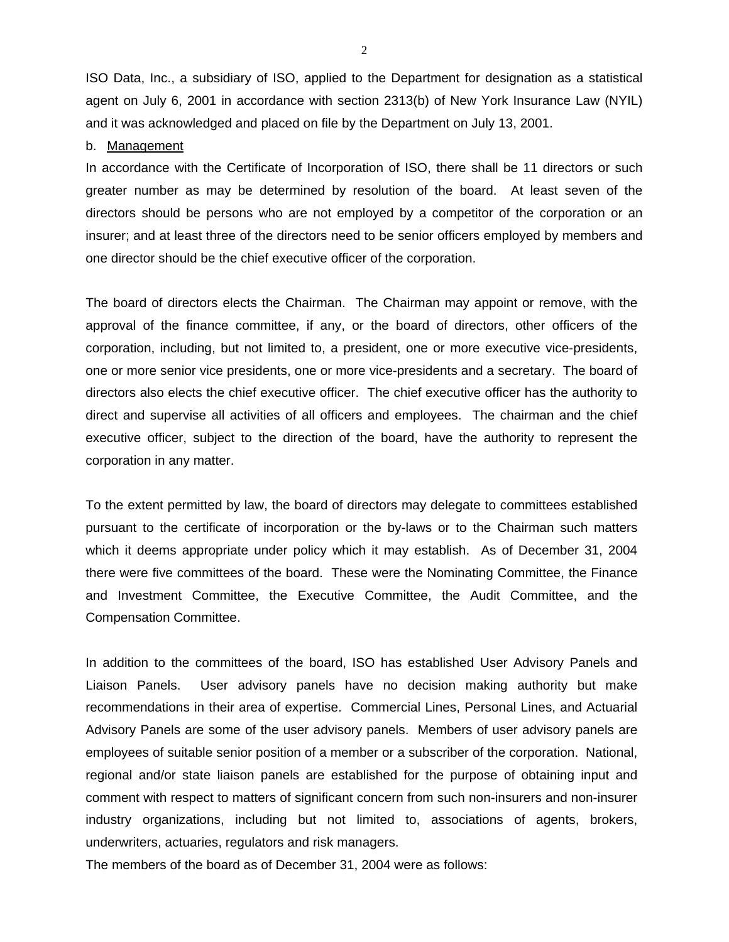<span id="page-4-0"></span>ISO Data, Inc., a subsidiary of ISO, applied to the Department for designation as a statistical agent on July 6, 2001 in accordance with section 2313(b) of New York Insurance Law (NYIL) and it was acknowledged and placed on file by the Department on July 13, 2001.

#### b. Management

In accordance with the Certificate of Incorporation of ISO, there shall be 11 directors or such greater number as may be determined by resolution of the board. At least seven of the directors should be persons who are not employed by a competitor of the corporation or an insurer; and at least three of the directors need to be senior officers employed by members and one director should be the chief executive officer of the corporation.

The board of directors elects the Chairman. The Chairman may appoint or remove, with the approval of the finance committee, if any, or the board of directors, other officers of the corporation, including, but not limited to, a president, one or more executive vice-presidents, one or more senior vice presidents, one or more vice-presidents and a secretary. The board of directors also elects the chief executive officer. The chief executive officer has the authority to direct and supervise all activities of all officers and employees. The chairman and the chief executive officer, subject to the direction of the board, have the authority to represent the corporation in any matter.

To the extent permitted by law, the board of directors may delegate to committees established pursuant to the certificate of incorporation or the by-laws or to the Chairman such matters which it deems appropriate under policy which it may establish. As of December 31, 2004 there were five committees of the board. These were the Nominating Committee, the Finance and Investment Committee, the Executive Committee, the Audit Committee, and the Compensation Committee.

In addition to the committees of the board, ISO has established User Advisory Panels and Liaison Panels. User advisory panels have no decision making authority but make recommendations in their area of expertise. Commercial Lines, Personal Lines, and Actuarial Advisory Panels are some of the user advisory panels. Members of user advisory panels are employees of suitable senior position of a member or a subscriber of the corporation. National, regional and/or state liaison panels are established for the purpose of obtaining input and comment with respect to matters of significant concern from such non-insurers and non-insurer industry organizations, including but not limited to, associations of agents, brokers, underwriters, actuaries, regulators and risk managers.

The members of the board as of December 31, 2004 were as follows:

2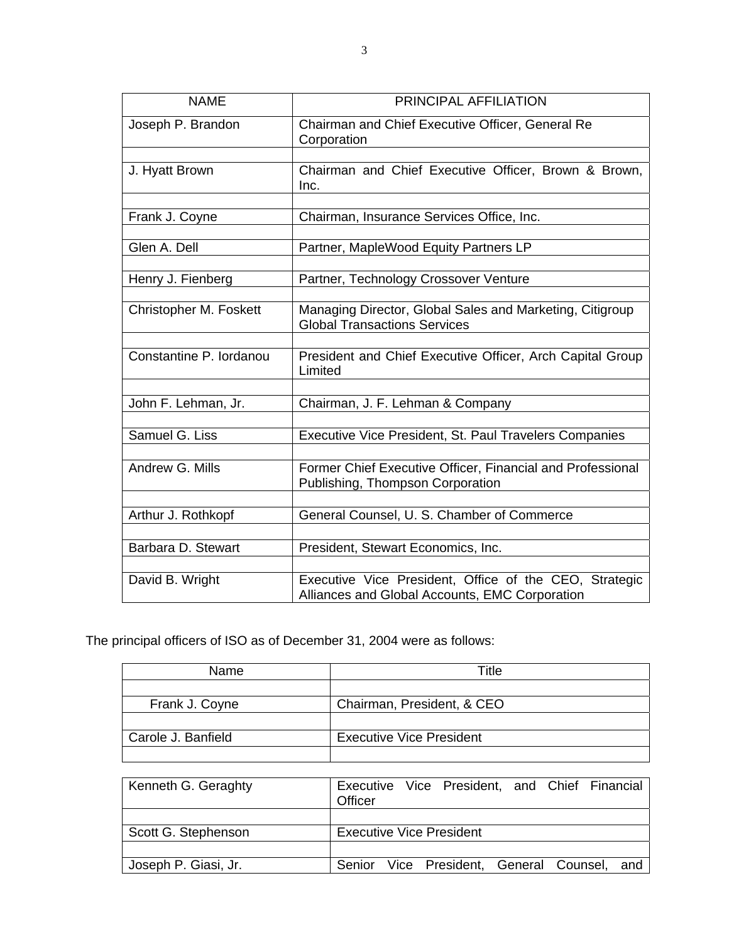| <b>NAME</b>             | PRINCIPAL AFFILIATION                                                                                    |  |  |  |  |  |  |
|-------------------------|----------------------------------------------------------------------------------------------------------|--|--|--|--|--|--|
| Joseph P. Brandon       | Chairman and Chief Executive Officer, General Re<br>Corporation                                          |  |  |  |  |  |  |
|                         |                                                                                                          |  |  |  |  |  |  |
| J. Hyatt Brown          | Chairman and Chief Executive Officer, Brown & Brown,<br>Inc.                                             |  |  |  |  |  |  |
|                         |                                                                                                          |  |  |  |  |  |  |
| Frank J. Coyne          | Chairman, Insurance Services Office, Inc.                                                                |  |  |  |  |  |  |
| Glen A. Dell            | Partner, MapleWood Equity Partners LP                                                                    |  |  |  |  |  |  |
|                         |                                                                                                          |  |  |  |  |  |  |
| Henry J. Fienberg       | Partner, Technology Crossover Venture                                                                    |  |  |  |  |  |  |
|                         |                                                                                                          |  |  |  |  |  |  |
| Christopher M. Foskett  | Managing Director, Global Sales and Marketing, Citigroup<br><b>Global Transactions Services</b>          |  |  |  |  |  |  |
|                         |                                                                                                          |  |  |  |  |  |  |
| Constantine P. lordanou | President and Chief Executive Officer, Arch Capital Group<br>Limited                                     |  |  |  |  |  |  |
|                         |                                                                                                          |  |  |  |  |  |  |
| John F. Lehman, Jr.     | Chairman, J. F. Lehman & Company                                                                         |  |  |  |  |  |  |
|                         |                                                                                                          |  |  |  |  |  |  |
| Samuel G. Liss          | Executive Vice President, St. Paul Travelers Companies                                                   |  |  |  |  |  |  |
| Andrew G. Mills         | Former Chief Executive Officer, Financial and Professional<br>Publishing, Thompson Corporation           |  |  |  |  |  |  |
|                         |                                                                                                          |  |  |  |  |  |  |
| Arthur J. Rothkopf      | General Counsel, U. S. Chamber of Commerce                                                               |  |  |  |  |  |  |
|                         |                                                                                                          |  |  |  |  |  |  |
| Barbara D. Stewart      | President, Stewart Economics, Inc.                                                                       |  |  |  |  |  |  |
| David B. Wright         | Executive Vice President, Office of the CEO, Strategic<br>Alliances and Global Accounts, EMC Corporation |  |  |  |  |  |  |

The principal officers of ISO as of December 31, 2004 were as follows:

| Name               | Title                           |  |  |  |  |
|--------------------|---------------------------------|--|--|--|--|
|                    |                                 |  |  |  |  |
| Frank J. Coyne     | Chairman, President, & CEO      |  |  |  |  |
|                    |                                 |  |  |  |  |
| Carole J. Banfield | <b>Executive Vice President</b> |  |  |  |  |
|                    |                                 |  |  |  |  |

| Kenneth G. Geraghty  | Officer                                 |  |  | Executive Vice President, and Chief Financial |
|----------------------|-----------------------------------------|--|--|-----------------------------------------------|
|                      |                                         |  |  |                                               |
| Scott G. Stephenson  | <b>Executive Vice President</b>         |  |  |                                               |
|                      |                                         |  |  |                                               |
| Joseph P. Giasi, Jr. | Senior Vice President, General Counsel, |  |  | and                                           |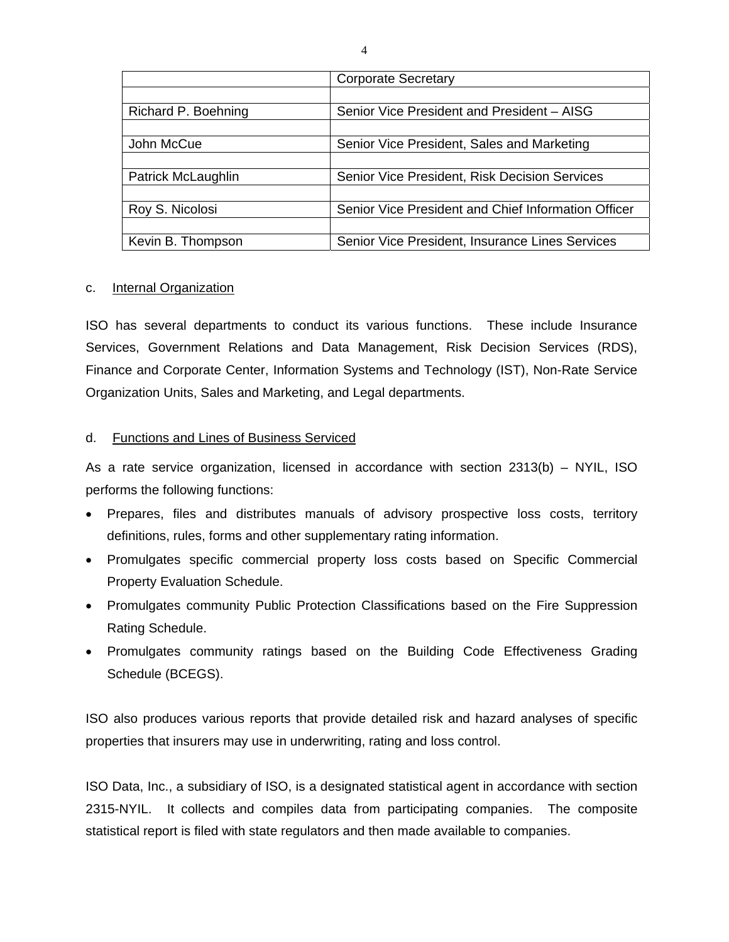|                     | <b>Corporate Secretary</b>                          |  |  |  |  |
|---------------------|-----------------------------------------------------|--|--|--|--|
|                     |                                                     |  |  |  |  |
| Richard P. Boehning | Senior Vice President and President - AISG          |  |  |  |  |
|                     |                                                     |  |  |  |  |
| John McCue          | Senior Vice President, Sales and Marketing          |  |  |  |  |
|                     |                                                     |  |  |  |  |
| Patrick McLaughlin  | Senior Vice President, Risk Decision Services       |  |  |  |  |
|                     |                                                     |  |  |  |  |
| Roy S. Nicolosi     | Senior Vice President and Chief Information Officer |  |  |  |  |
|                     |                                                     |  |  |  |  |
| Kevin B. Thompson   | Senior Vice President, Insurance Lines Services     |  |  |  |  |

### c. Internal Organization

ISO has several departments to conduct its various functions. These include Insurance Services, Government Relations and Data Management, Risk Decision Services (RDS), Finance and Corporate Center, Information Systems and Technology (IST), Non-Rate Service Organization Units, Sales and Marketing, and Legal departments.

### d. Functions and Lines of Business Serviced

As a rate service organization, licensed in accordance with section 2313(b) – NYIL, ISO performs the following functions:

- Prepares, files and distributes manuals of advisory prospective loss costs, territory definitions, rules, forms and other supplementary rating information.
- Promulgates specific commercial property loss costs based on Specific Commercial Property Evaluation Schedule.
- Promulgates community Public Protection Classifications based on the Fire Suppression Rating Schedule.
- Promulgates community ratings based on the Building Code Effectiveness Grading Schedule (BCEGS).

ISO also produces various reports that provide detailed risk and hazard analyses of specific properties that insurers may use in underwriting, rating and loss control.

ISO Data, Inc., a subsidiary of ISO, is a designated statistical agent in accordance with section 2315-NYIL. It collects and compiles data from participating companies. The composite statistical report is filed with state regulators and then made available to companies.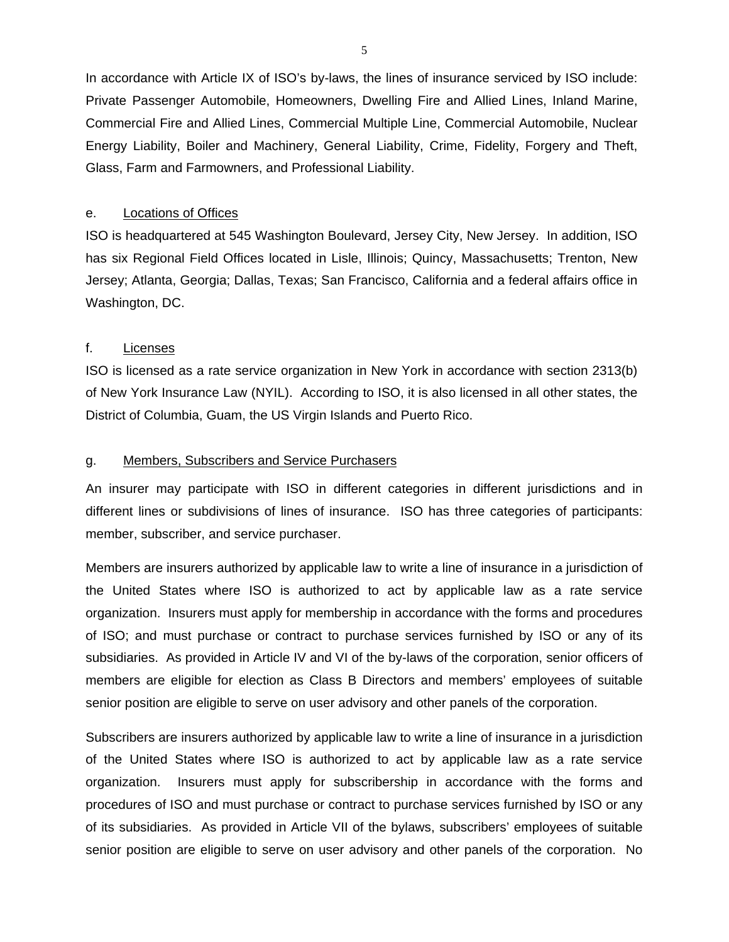<span id="page-7-0"></span>In accordance with Article IX of ISO's by-laws, the lines of insurance serviced by ISO include: Private Passenger Automobile, Homeowners, Dwelling Fire and Allied Lines, Inland Marine, Commercial Fire and Allied Lines, Commercial Multiple Line, Commercial Automobile, Nuclear Energy Liability, Boiler and Machinery, General Liability, Crime, Fidelity, Forgery and Theft, Glass, Farm and Farmowners, and Professional Liability.

#### e. Locations of Offices

ISO is headquartered at 545 Washington Boulevard, Jersey City, New Jersey. In addition, ISO has six Regional Field Offices located in Lisle, Illinois; Quincy, Massachusetts; Trenton, New Jersey; Atlanta, Georgia; Dallas, Texas; San Francisco, California and a federal affairs office in Washington, DC.

### f. Licenses

ISO is licensed as a rate service organization in New York in accordance with section 2313(b) of New York Insurance Law (NYIL). According to ISO, it is also licensed in all other states, the District of Columbia, Guam, the US Virgin Islands and Puerto Rico.

### g. Members, Subscribers and Service Purchasers

An insurer may participate with ISO in different categories in different jurisdictions and in different lines or subdivisions of lines of insurance. ISO has three categories of participants: member, subscriber, and service purchaser.

Members are insurers authorized by applicable law to write a line of insurance in a jurisdiction of the United States where ISO is authorized to act by applicable law as a rate service organization. Insurers must apply for membership in accordance with the forms and procedures of ISO; and must purchase or contract to purchase services furnished by ISO or any of its subsidiaries. As provided in Article IV and VI of the by-laws of the corporation, senior officers of members are eligible for election as Class B Directors and members' employees of suitable senior position are eligible to serve on user advisory and other panels of the corporation.

Subscribers are insurers authorized by applicable law to write a line of insurance in a jurisdiction of the United States where ISO is authorized to act by applicable law as a rate service organization. Insurers must apply for subscribership in accordance with the forms and procedures of ISO and must purchase or contract to purchase services furnished by ISO or any of its subsidiaries. As provided in Article VII of the bylaws, subscribers' employees of suitable senior position are eligible to serve on user advisory and other panels of the corporation. No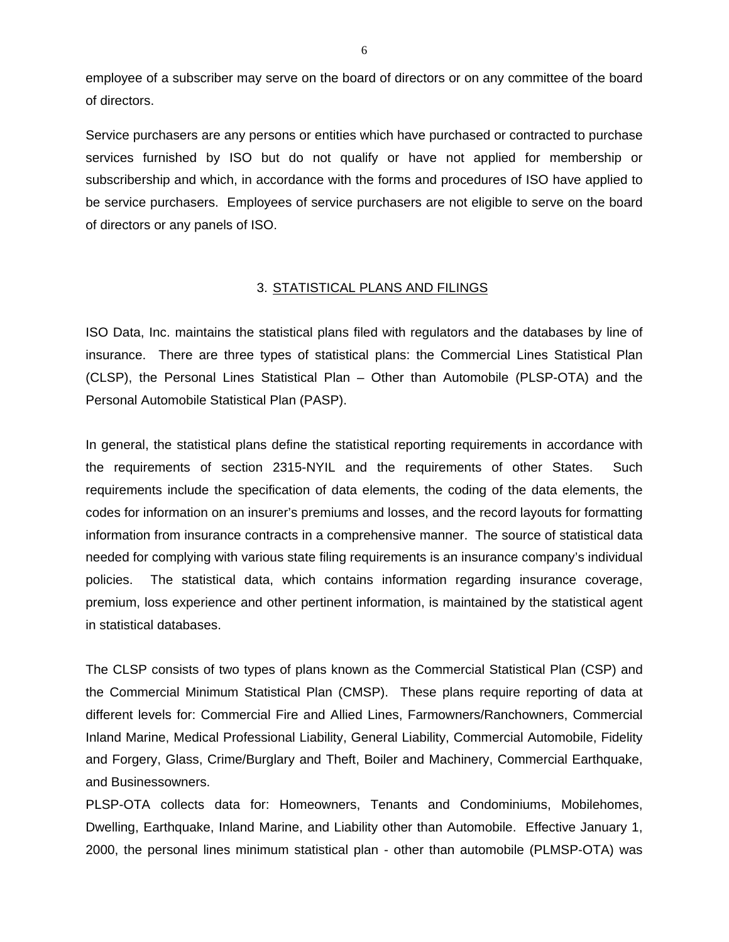<span id="page-8-0"></span>employee of a subscriber may serve on the board of directors or on any committee of the board of directors.

Service purchasers are any persons or entities which have purchased or contracted to purchase services furnished by ISO but do not qualify or have not applied for membership or subscribership and which, in accordance with the forms and procedures of ISO have applied to be service purchasers. Employees of service purchasers are not eligible to serve on the board of directors or any panels of ISO.

### 3. STATISTICAL PLANS AND FILINGS

ISO Data, Inc. maintains the statistical plans filed with regulators and the databases by line of insurance. There are three types of statistical plans: the Commercial Lines Statistical Plan (CLSP), the Personal Lines Statistical Plan – Other than Automobile (PLSP-OTA) and the Personal Automobile Statistical Plan (PASP).

In general, the statistical plans define the statistical reporting requirements in accordance with the requirements of section 2315-NYIL and the requirements of other States. Such requirements include the specification of data elements, the coding of the data elements, the codes for information on an insurer's premiums and losses, and the record layouts for formatting information from insurance contracts in a comprehensive manner. The source of statistical data needed for complying with various state filing requirements is an insurance company's individual policies. The statistical data, which contains information regarding insurance coverage, premium, loss experience and other pertinent information, is maintained by the statistical agent in statistical databases.

The CLSP consists of two types of plans known as the Commercial Statistical Plan (CSP) and the Commercial Minimum Statistical Plan (CMSP). These plans require reporting of data at different levels for: Commercial Fire and Allied Lines, Farmowners/Ranchowners, Commercial Inland Marine, Medical Professional Liability, General Liability, Commercial Automobile, Fidelity and Forgery, Glass, Crime/Burglary and Theft, Boiler and Machinery, Commercial Earthquake, and Businessowners.

PLSP-OTA collects data for: Homeowners, Tenants and Condominiums, Mobilehomes, Dwelling, Earthquake, Inland Marine, and Liability other than Automobile. Effective January 1, 2000, the personal lines minimum statistical plan - other than automobile (PLMSP-OTA) was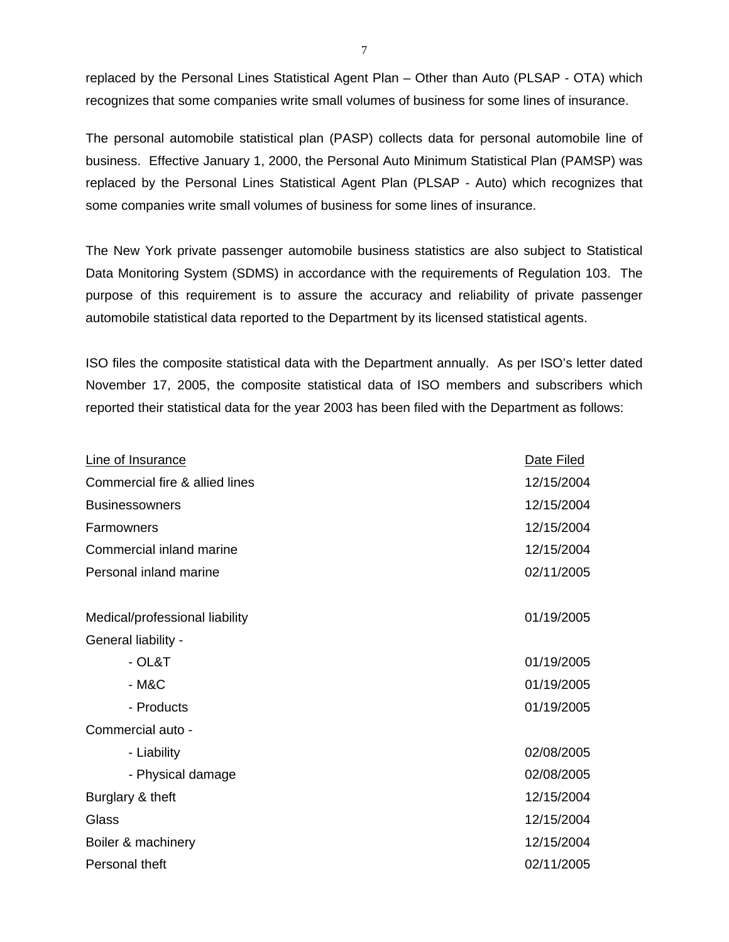replaced by the Personal Lines Statistical Agent Plan – Other than Auto (PLSAP - OTA) which recognizes that some companies write small volumes of business for some lines of insurance.

The personal automobile statistical plan (PASP) collects data for personal automobile line of business. Effective January 1, 2000, the Personal Auto Minimum Statistical Plan (PAMSP) was replaced by the Personal Lines Statistical Agent Plan (PLSAP - Auto) which recognizes that some companies write small volumes of business for some lines of insurance.

The New York private passenger automobile business statistics are also subject to Statistical Data Monitoring System (SDMS) in accordance with the requirements of Regulation 103. The purpose of this requirement is to assure the accuracy and reliability of private passenger automobile statistical data reported to the Department by its licensed statistical agents.

ISO files the composite statistical data with the Department annually. As per ISO's letter dated November 17, 2005, the composite statistical data of ISO members and subscribers which reported their statistical data for the year 2003 has been filed with the Department as follows:

| Line of Insurance              | Date Filed |
|--------------------------------|------------|
| Commercial fire & allied lines | 12/15/2004 |
| <b>Businessowners</b>          | 12/15/2004 |
| Farmowners                     | 12/15/2004 |
| Commercial inland marine       | 12/15/2004 |
| Personal inland marine         | 02/11/2005 |
|                                |            |
| Medical/professional liability | 01/19/2005 |
| General liability -            |            |
| $-$ OL&T                       | 01/19/2005 |
| $-M&C$                         | 01/19/2005 |
| - Products                     | 01/19/2005 |
| Commercial auto -              |            |
| - Liability                    | 02/08/2005 |
| - Physical damage              | 02/08/2005 |
| Burglary & theft               | 12/15/2004 |
| Glass                          | 12/15/2004 |
| Boiler & machinery             | 12/15/2004 |
| Personal theft                 | 02/11/2005 |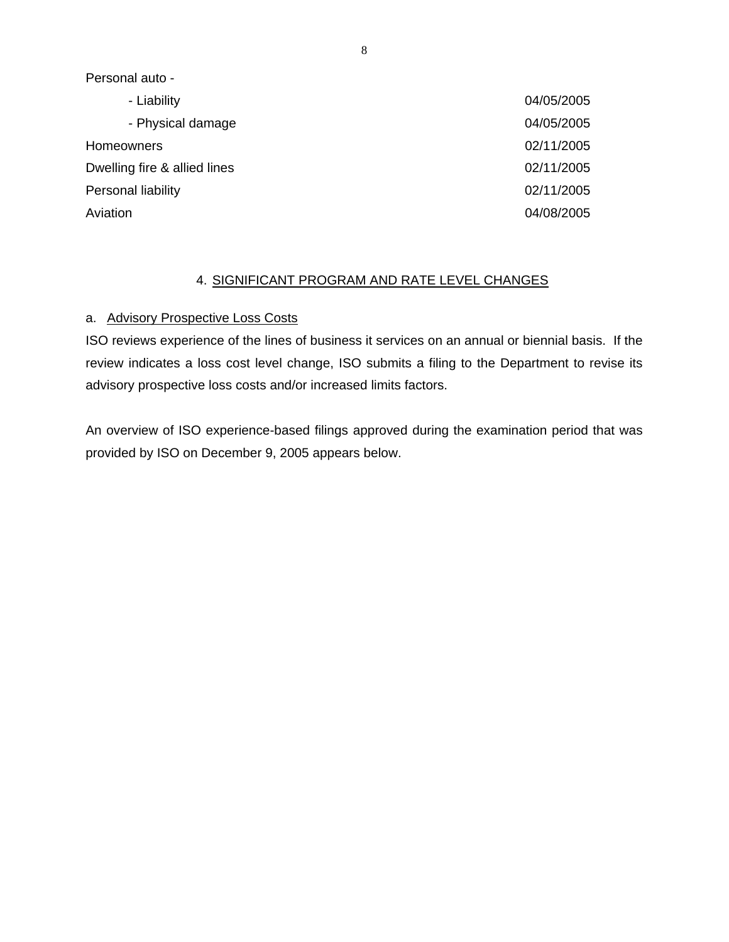<span id="page-10-0"></span>Personal auto -

| - Liability                  | 04/05/2005 |
|------------------------------|------------|
| - Physical damage            | 04/05/2005 |
| Homeowners                   | 02/11/2005 |
| Dwelling fire & allied lines | 02/11/2005 |
| Personal liability           | 02/11/2005 |
| Aviation                     | 04/08/2005 |

### 4. SIGNIFICANT PROGRAM AND RATE LEVEL CHANGES

### a. Advisory Prospective Loss Costs

ISO reviews experience of the lines of business it services on an annual or biennial basis. If the review indicates a loss cost level change, ISO submits a filing to the Department to revise its advisory prospective loss costs and/or increased limits factors.

An overview of ISO experience-based filings approved during the examination period that was provided by ISO on December 9, 2005 appears below.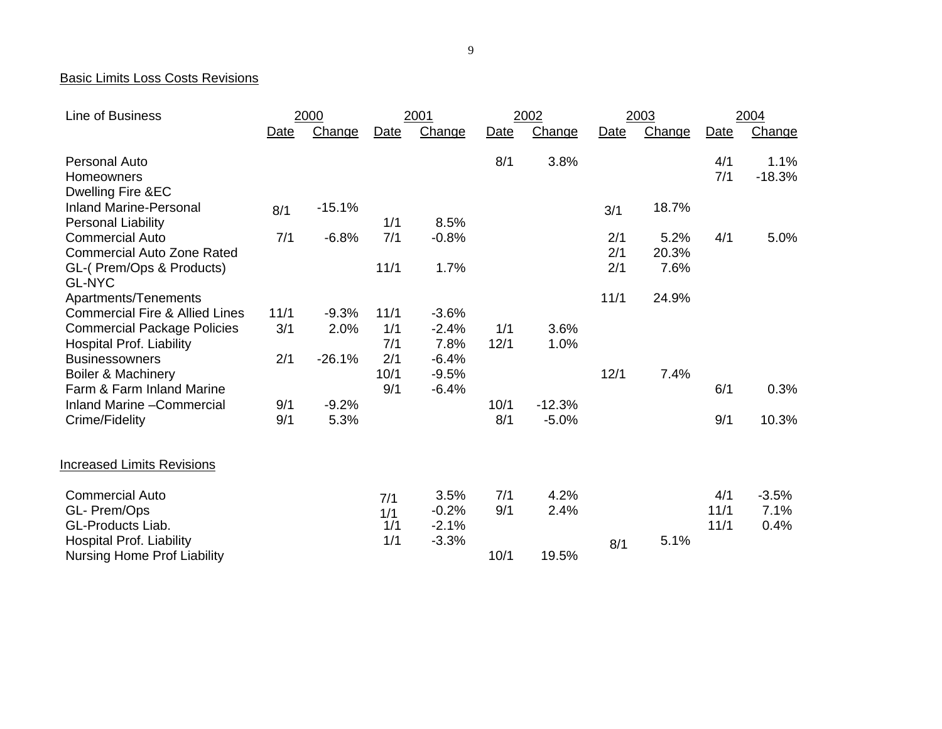#### Basic Limits Loss Costs Revisions

| Line of Business                          | 2000 |          | 2001 |         | 2002 |          | 2003 |        | 2004 |          |
|-------------------------------------------|------|----------|------|---------|------|----------|------|--------|------|----------|
|                                           | Date | Change   | Date | Change  | Date | Change   | Date | Change | Date | Change   |
| <b>Personal Auto</b>                      |      |          |      |         | 8/1  | 3.8%     |      |        | 4/1  | 1.1%     |
| Homeowners                                |      |          |      |         |      |          |      |        | 7/1  | $-18.3%$ |
| Dwelling Fire &EC                         |      |          |      |         |      |          |      |        |      |          |
| <b>Inland Marine-Personal</b>             | 8/1  | $-15.1%$ |      |         |      |          | 3/1  | 18.7%  |      |          |
| <b>Personal Liability</b>                 |      |          | 1/1  | 8.5%    |      |          |      |        |      |          |
| <b>Commercial Auto</b>                    | 7/1  | $-6.8%$  | 7/1  | $-0.8%$ |      |          | 2/1  | 5.2%   | 4/1  | 5.0%     |
| <b>Commercial Auto Zone Rated</b>         |      |          |      |         |      |          | 2/1  | 20.3%  |      |          |
| GL-(Prem/Ops & Products)<br><b>GL-NYC</b> |      |          | 11/1 | 1.7%    |      |          | 2/1  | 7.6%   |      |          |
| Apartments/Tenements                      |      |          |      |         |      |          | 11/1 | 24.9%  |      |          |
| <b>Commercial Fire &amp; Allied Lines</b> | 11/1 | $-9.3%$  | 11/1 | $-3.6%$ |      |          |      |        |      |          |
| <b>Commercial Package Policies</b>        | 3/1  | 2.0%     | 1/1  | $-2.4%$ | 1/1  | 3.6%     |      |        |      |          |
| <b>Hospital Prof. Liability</b>           |      |          | 7/1  | 7.8%    | 12/1 | 1.0%     |      |        |      |          |
| <b>Businessowners</b>                     | 2/1  | $-26.1%$ | 2/1  | $-6.4%$ |      |          |      |        |      |          |
| <b>Boiler &amp; Machinery</b>             |      |          | 10/1 | $-9.5%$ |      |          | 12/1 | 7.4%   |      |          |
| Farm & Farm Inland Marine                 |      |          | 9/1  | $-6.4%$ |      |          |      |        | 6/1  | 0.3%     |
| Inland Marine - Commercial                | 9/1  | $-9.2%$  |      |         | 10/1 | $-12.3%$ |      |        |      |          |
| Crime/Fidelity                            | 9/1  | 5.3%     |      |         | 8/1  | $-5.0%$  |      |        | 9/1  | 10.3%    |
| <b>Increased Limits Revisions</b>         |      |          |      |         |      |          |      |        |      |          |
| <b>Commercial Auto</b>                    |      |          | 7/1  | 3.5%    | 7/1  | 4.2%     |      |        | 4/1  | $-3.5%$  |
| GL- Prem/Ops                              |      |          | 1/1  | $-0.2%$ | 9/1  | 2.4%     |      |        | 11/1 | 7.1%     |
| GL-Products Liab.                         |      |          | 1/1  | $-2.1%$ |      |          |      |        | 11/1 | 0.4%     |
| <b>Hospital Prof. Liability</b>           |      |          | 1/1  | $-3.3%$ |      |          | 8/1  | 5.1%   |      |          |
| <b>Nursing Home Prof Liability</b>        |      |          |      |         | 10/1 | 19.5%    |      |        |      |          |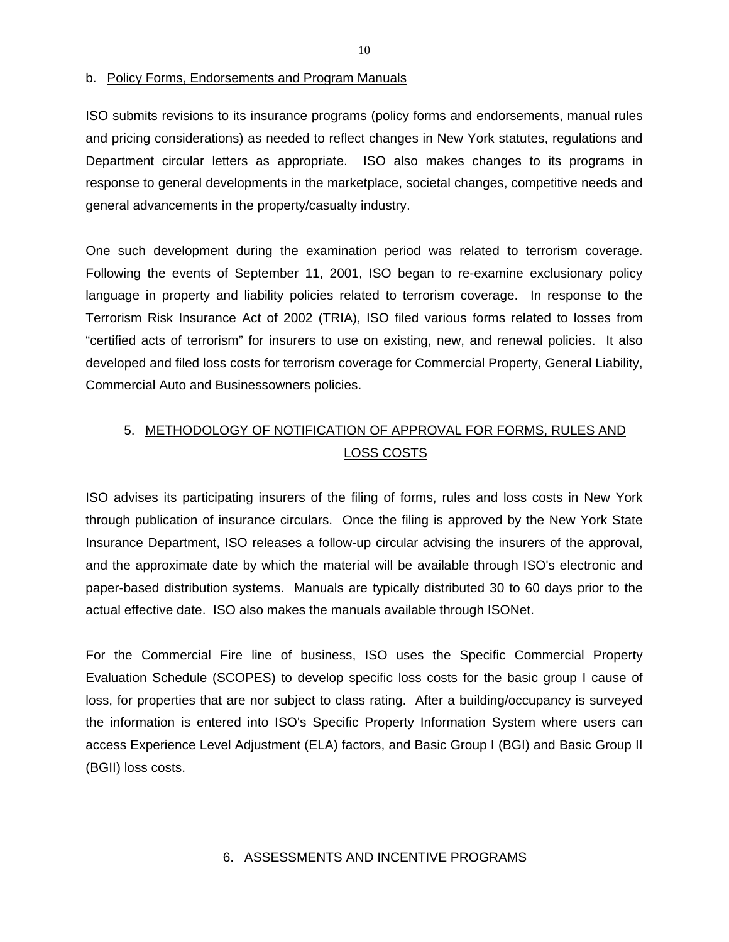#### <span id="page-12-0"></span>b. Policy Forms, Endorsements and Program Manuals

ISO submits revisions to its insurance programs (policy forms and endorsements, manual rules and pricing considerations) as needed to reflect changes in New York statutes, regulations and Department circular letters as appropriate. ISO also makes changes to its programs in response to general developments in the marketplace, societal changes, competitive needs and general advancements in the property/casualty industry.

One such development during the examination period was related to terrorism coverage. Following the events of September 11, 2001, ISO began to re-examine exclusionary policy language in property and liability policies related to terrorism coverage. In response to the Terrorism Risk Insurance Act of 2002 (TRIA), ISO filed various forms related to losses from "certified acts of terrorism" for insurers to use on existing, new, and renewal policies. It also developed and filed loss costs for terrorism coverage for Commercial Property, General Liability, Commercial Auto and Businessowners policies.

# 5. METHODOLOGY OF NOTIFICATION OF APPROVAL FOR FORMS, RULES AND LOSS COSTS

ISO advises its participating insurers of the filing of forms, rules and loss costs in New York through publication of insurance circulars. Once the filing is approved by the New York State Insurance Department, ISO releases a follow-up circular advising the insurers of the approval, and the approximate date by which the material will be available through ISO's electronic and paper-based distribution systems. Manuals are typically distributed 30 to 60 days prior to the actual effective date. ISO also makes the manuals available through ISONet.

For the Commercial Fire line of business, ISO uses the Specific Commercial Property Evaluation Schedule (SCOPES) to develop specific loss costs for the basic group I cause of loss, for properties that are nor subject to class rating. After a building/occupancy is surveyed the information is entered into ISO's Specific Property Information System where users can access Experience Level Adjustment (ELA) factors, and Basic Group I (BGI) and Basic Group II (BGII) loss costs.

### 6. ASSESSMENTS AND INCENTIVE PROGRAMS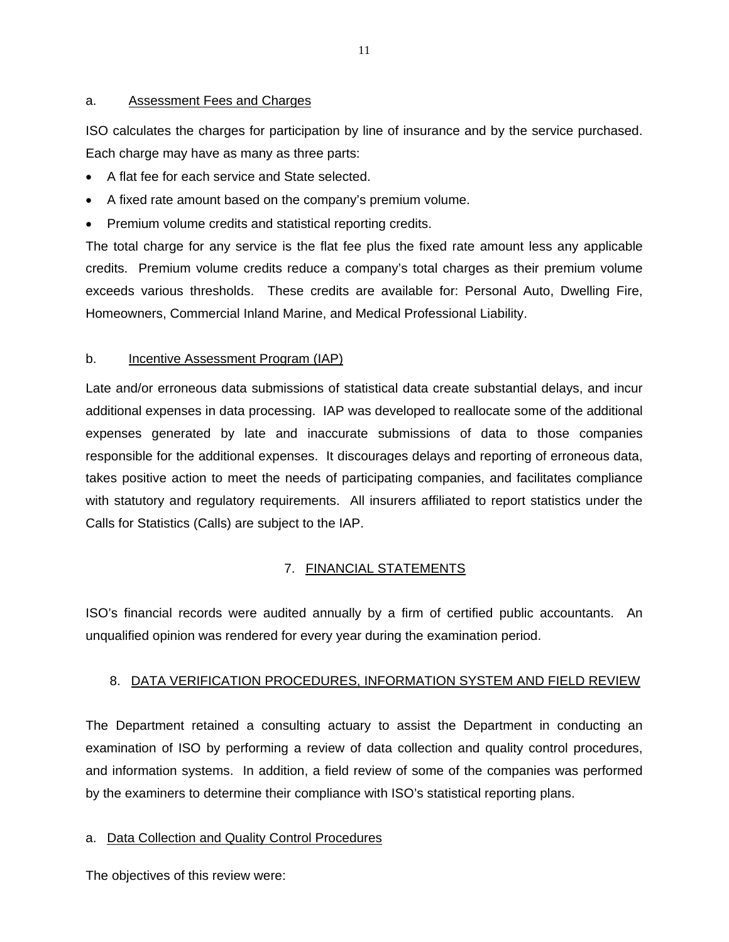### <span id="page-13-0"></span>Assessment Fees and Charges

a. Assessment Fees and Charges<br>ISO calculates the charges for participation by line of insurance and by the service purchased. Each charge may have as many as three parts:

- A flat fee for each service and State selected.
- A fixed rate amount based on the company's premium volume.
- Premium volume credits and statistical reporting credits.

The total charge for any service is the flat fee plus the fixed rate amount less any applicable credits. Premium volume credits reduce a company's total charges as their premium volume exceeds various thresholds. These credits are available for: Personal Auto, Dwelling Fire, Homeowners, Commercial Inland Marine, and Medical Professional Liability.

### **Incentive Assessment Program (IAP)**

b. Incentive Assessment Program (IAP)<br>Late and/or erroneous data submissions of statistical data create substantial delays, and incur additional expenses in data processing. IAP was developed to reallocate some of the additional expenses generated by late and inaccurate submissions of data to those companies responsible for the additional expenses. It discourages delays and reporting of erroneous data, takes positive action to meet the needs of participating companies, and facilitates compliance with statutory and regulatory requirements. All insurers affiliated to report statistics under the Calls for Statistics (Calls) are subject to the IAP.

### 7. FINANCIAL STATEMENTS

ISO's financial records were audited annually by a firm of certified public accountants. An unqualified opinion was rendered for every year during the examination period.

### 8. DATA VERIFICATION PROCEDURES, INFORMATION SYSTEM AND FIELD REVIEW

The Department retained a consulting actuary to assist the Department in conducting an examination of ISO by performing a review of data collection and quality control procedures, and information systems. In addition, a field review of some of the companies was performed by the examiners to determine their compliance with ISO's statistical reporting plans.

### a. Data Collection and Quality Control Procedures

The objectives of this review were: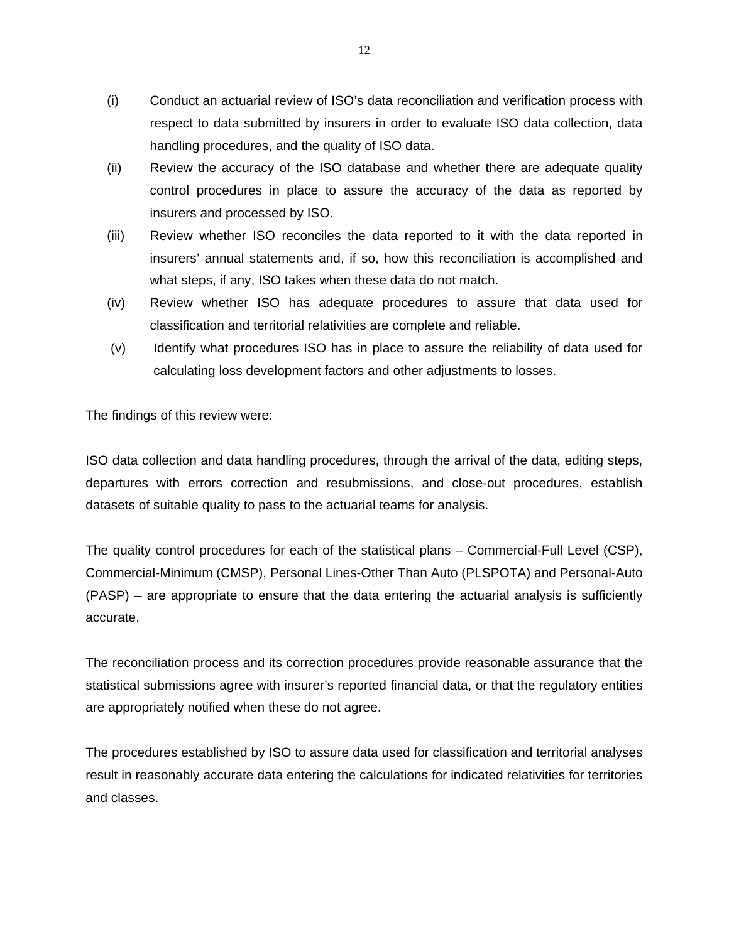- <span id="page-14-0"></span>(i) Conduct an actuarial review of ISO's data reconciliation and verification process with respect to data submitted by insurers in order to evaluate ISO data collection, data handling procedures, and the quality of ISO data.
- (ii) Review the accuracy of the ISO database and whether there are adequate quality control procedures in place to assure the accuracy of the data as reported by insurers and processed by ISO.
- (iii) Review whether ISO reconciles the data reported to it with the data reported in insurers' annual statements and, if so, how this reconciliation is accomplished and what steps, if any, ISO takes when these data do not match.
- (iv) Review whether ISO has adequate procedures to assure that data used for classification and territorial relativities are complete and reliable.
- (v) Identify what procedures ISO has in place to assure the reliability of data used for calculating loss development factors and other adjustments to losses.

The findings of this review were:

ISO data collection and data handling procedures, through the arrival of the data, editing steps, departures with errors correction and resubmissions, and close-out procedures, establish datasets of suitable quality to pass to the actuarial teams for analysis.

The quality control procedures for each of the statistical plans – Commercial-Full Level (CSP), Commercial-Minimum (CMSP), Personal Lines-Other Than Auto (PLSPOTA) and Personal-Auto (PASP) – are appropriate to ensure that the data entering the actuarial analysis is sufficiently accurate.

The reconciliation process and its correction procedures provide reasonable assurance that the statistical submissions agree with insurer's reported financial data, or that the regulatory entities are appropriately notified when these do not agree.

The procedures established by ISO to assure data used for classification and territorial analyses result in reasonably accurate data entering the calculations for indicated relativities for territories and classes.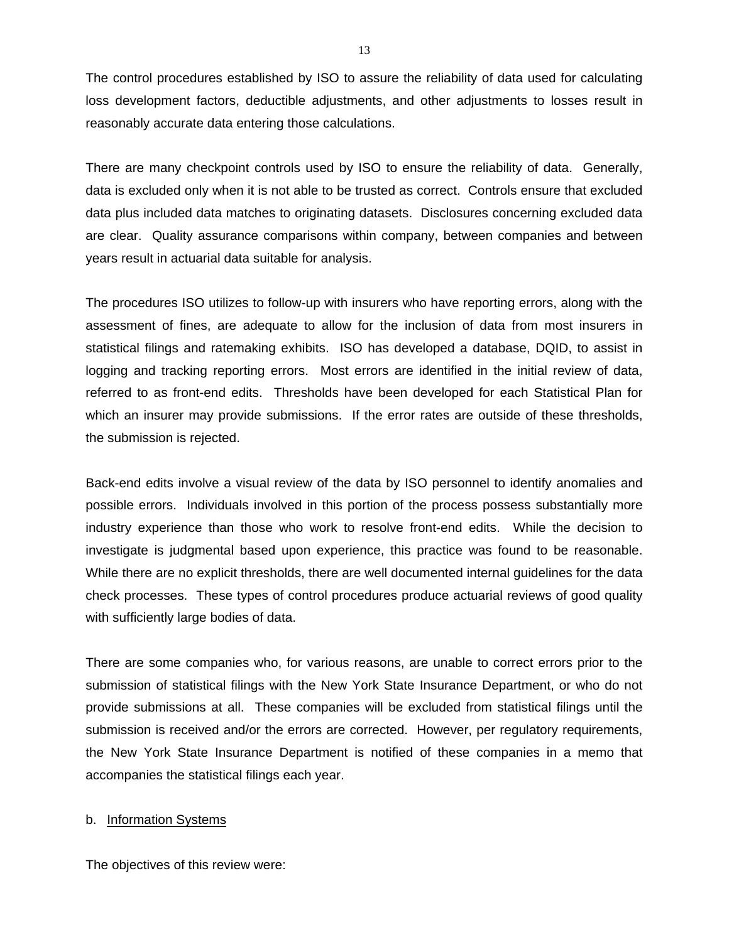The control procedures established by ISO to assure the reliability of data used for calculating loss development factors, deductible adjustments, and other adjustments to losses result in reasonably accurate data entering those calculations.

There are many checkpoint controls used by ISO to ensure the reliability of data. Generally, data is excluded only when it is not able to be trusted as correct. Controls ensure that excluded data plus included data matches to originating datasets. Disclosures concerning excluded data are clear. Quality assurance comparisons within company, between companies and between years result in actuarial data suitable for analysis.

The procedures ISO utilizes to follow-up with insurers who have reporting errors, along with the assessment of fines, are adequate to allow for the inclusion of data from most insurers in statistical filings and ratemaking exhibits. ISO has developed a database, DQID, to assist in logging and tracking reporting errors. Most errors are identified in the initial review of data, referred to as front-end edits. Thresholds have been developed for each Statistical Plan for which an insurer may provide submissions. If the error rates are outside of these thresholds, the submission is rejected.

Back-end edits involve a visual review of the data by ISO personnel to identify anomalies and possible errors. Individuals involved in this portion of the process possess substantially more industry experience than those who work to resolve front-end edits. While the decision to investigate is judgmental based upon experience, this practice was found to be reasonable. While there are no explicit thresholds, there are well documented internal guidelines for the data check processes. These types of control procedures produce actuarial reviews of good quality with sufficiently large bodies of data.

There are some companies who, for various reasons, are unable to correct errors prior to the submission of statistical filings with the New York State Insurance Department, or who do not provide submissions at all. These companies will be excluded from statistical filings until the submission is received and/or the errors are corrected. However, per regulatory requirements, the New York State Insurance Department is notified of these companies in a memo that accompanies the statistical filings each year.

### b. Information Systems

The objectives of this review were: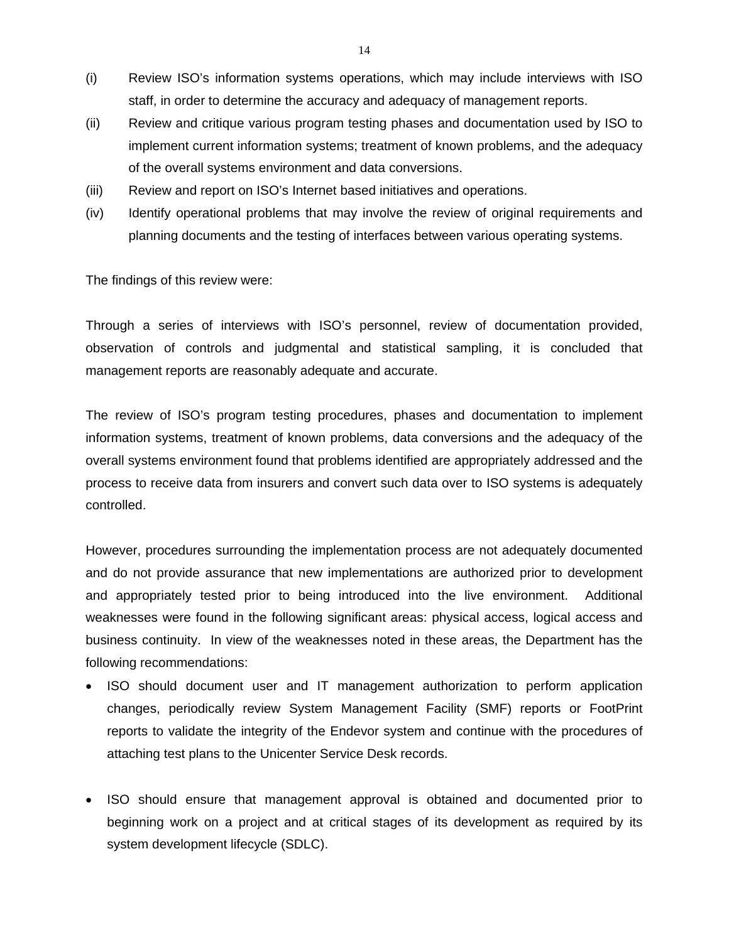- <span id="page-16-0"></span>(i) Review ISO's information systems operations, which may include interviews with ISO staff, in order to determine the accuracy and adequacy of management reports.
- (ii) Review and critique various program testing phases and documentation used by ISO to implement current information systems; treatment of known problems, and the adequacy of the overall systems environment and data conversions.
- (iii) Review and report on ISO's Internet based initiatives and operations.
- (iv) Identify operational problems that may involve the review of original requirements and planning documents and the testing of interfaces between various operating systems.

The findings of this review were:

Through a series of interviews with ISO's personnel, review of documentation provided, observation of controls and judgmental and statistical sampling, it is concluded that management reports are reasonably adequate and accurate.

The review of ISO's program testing procedures, phases and documentation to implement information systems, treatment of known problems, data conversions and the adequacy of the overall systems environment found that problems identified are appropriately addressed and the process to receive data from insurers and convert such data over to ISO systems is adequately controlled.

However, procedures surrounding the implementation process are not adequately documented and do not provide assurance that new implementations are authorized prior to development and appropriately tested prior to being introduced into the live environment. Additional weaknesses were found in the following significant areas: physical access, logical access and business continuity. In view of the weaknesses noted in these areas, the Department has the following recommendations:

- ISO should document user and IT management authorization to perform application changes, periodically review System Management Facility (SMF) reports or FootPrint reports to validate the integrity of the Endevor system and continue with the procedures of attaching test plans to the Unicenter Service Desk records.
- ISO should ensure that management approval is obtained and documented prior to beginning work on a project and at critical stages of its development as required by its system development lifecycle (SDLC).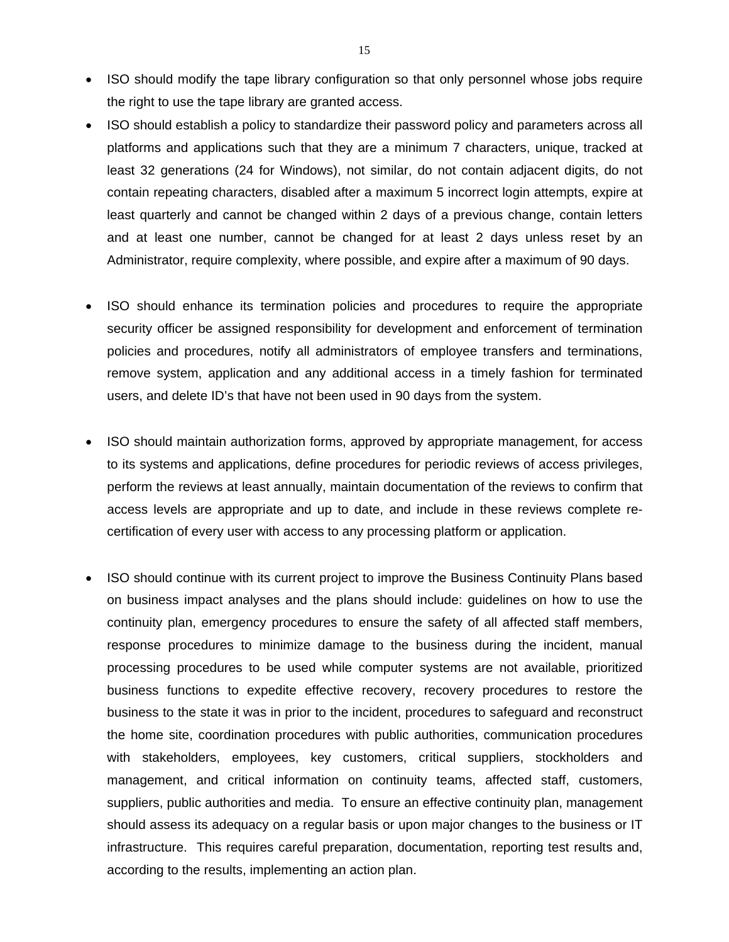- ISO should modify the tape library configuration so that only personnel whose jobs require the right to use the tape library are granted access.
- ISO should establish a policy to standardize their password policy and parameters across all platforms and applications such that they are a minimum 7 characters, unique, tracked at least 32 generations (24 for Windows), not similar, do not contain adjacent digits, do not contain repeating characters, disabled after a maximum 5 incorrect login attempts, expire at least quarterly and cannot be changed within 2 days of a previous change, contain letters and at least one number, cannot be changed for at least 2 days unless reset by an Administrator, require complexity, where possible, and expire after a maximum of 90 days.
- ISO should enhance its termination policies and procedures to require the appropriate security officer be assigned responsibility for development and enforcement of termination policies and procedures, notify all administrators of employee transfers and terminations, remove system, application and any additional access in a timely fashion for terminated users, and delete ID's that have not been used in 90 days from the system.
- ISO should maintain authorization forms, approved by appropriate management, for access to its systems and applications, define procedures for periodic reviews of access privileges, perform the reviews at least annually, maintain documentation of the reviews to confirm that access levels are appropriate and up to date, and include in these reviews complete recertification of every user with access to any processing platform or application.
- ISO should continue with its current project to improve the Business Continuity Plans based on business impact analyses and the plans should include: guidelines on how to use the continuity plan, emergency procedures to ensure the safety of all affected staff members, response procedures to minimize damage to the business during the incident, manual processing procedures to be used while computer systems are not available, prioritized business functions to expedite effective recovery, recovery procedures to restore the business to the state it was in prior to the incident, procedures to safeguard and reconstruct the home site, coordination procedures with public authorities, communication procedures with stakeholders, employees, key customers, critical suppliers, stockholders and management, and critical information on continuity teams, affected staff, customers, suppliers, public authorities and media. To ensure an effective continuity plan, management should assess its adequacy on a regular basis or upon major changes to the business or IT infrastructure. This requires careful preparation, documentation, reporting test results and, according to the results, implementing an action plan.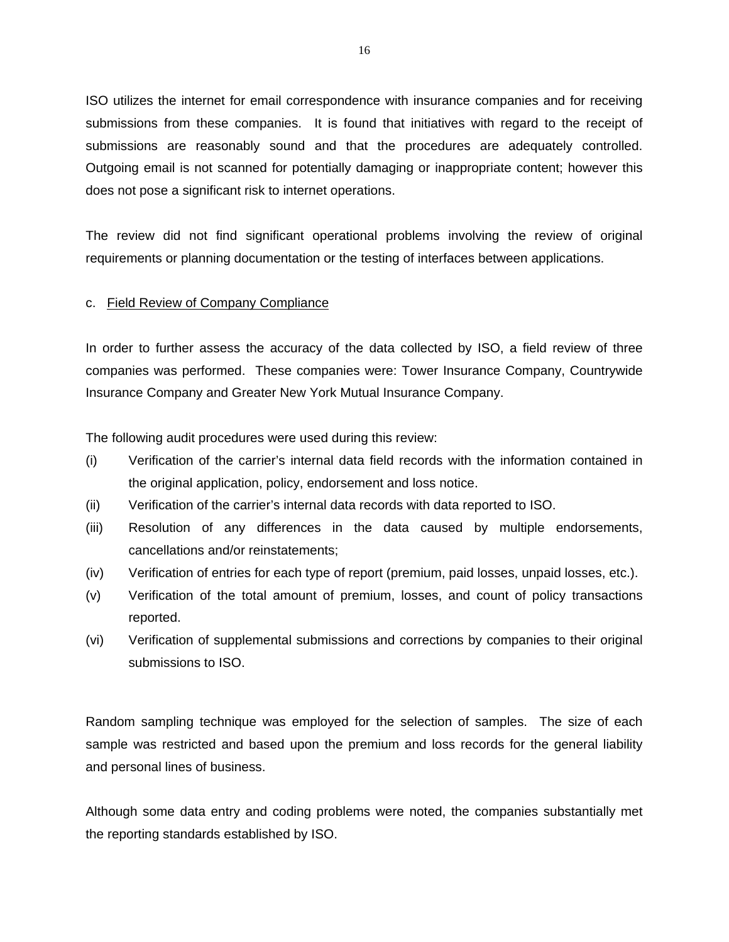ISO utilizes the internet for email correspondence with insurance companies and for receiving submissions from these companies. It is found that initiatives with regard to the receipt of submissions are reasonably sound and that the procedures are adequately controlled. Outgoing email is not scanned for potentially damaging or inappropriate content; however this does not pose a significant risk to internet operations.

The review did not find significant operational problems involving the review of original requirements or planning documentation or the testing of interfaces between applications.

### c. Field Review of Company Compliance

In order to further assess the accuracy of the data collected by ISO, a field review of three companies was performed. These companies were: Tower Insurance Company, Countrywide Insurance Company and Greater New York Mutual Insurance Company.

The following audit procedures were used during this review:

- (i) Verification of the carrier's internal data field records with the information contained in the original application, policy, endorsement and loss notice.
- (ii) Verification of the carrier's internal data records with data reported to ISO.
- (iii) Resolution of any differences in the data caused by multiple endorsements, cancellations and/or reinstatements;
- (iv) Verification of entries for each type of report (premium, paid losses, unpaid losses, etc.).
- (v) Verification of the total amount of premium, losses, and count of policy transactions reported.
- (vi) Verification of supplemental submissions and corrections by companies to their original submissions to ISO.

Random sampling technique was employed for the selection of samples. The size of each sample was restricted and based upon the premium and loss records for the general liability and personal lines of business.

Although some data entry and coding problems were noted, the companies substantially met the reporting standards established by ISO.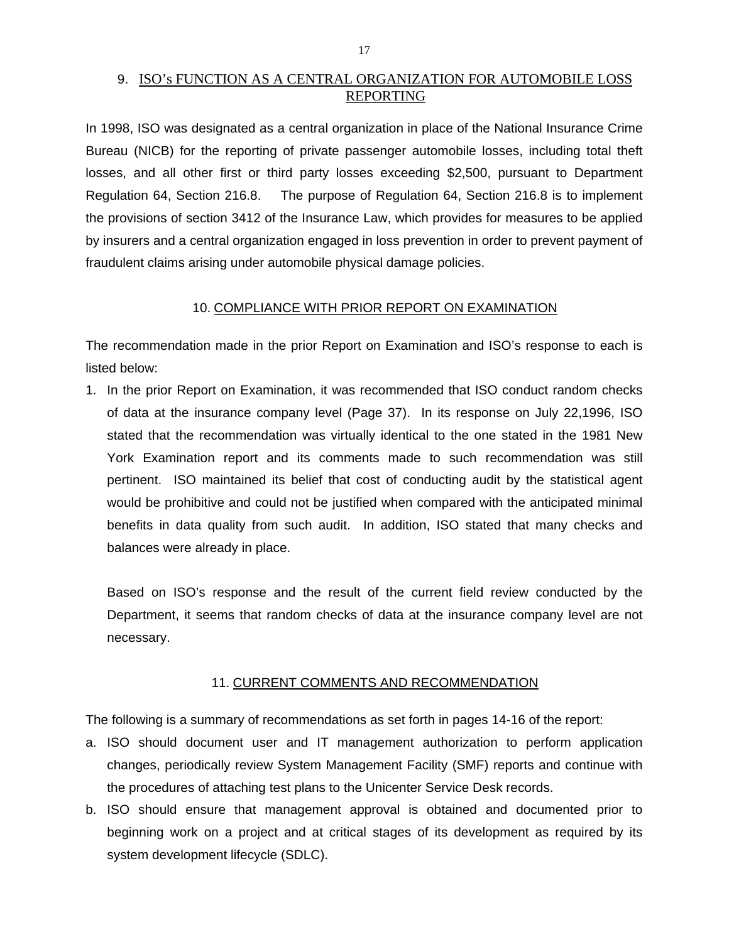### <span id="page-19-0"></span>9. ISO's FUNCTION AS A CENTRAL ORGANIZATION FOR AUTOMOBILE LOSS REPORTING

In 1998, ISO was designated as a central organization in place of the National Insurance Crime Bureau (NICB) for the reporting of private passenger automobile losses, including total theft losses, and all other first or third party losses exceeding \$2,500, pursuant to Department Regulation 64, Section 216.8. The purpose of Regulation 64, Section 216.8 is to implement the provisions of section 3412 of the Insurance Law, which provides for measures to be applied by insurers and a central organization engaged in loss prevention in order to prevent payment of fraudulent claims arising under automobile physical damage policies.

### 10. COMPLIANCE WITH PRIOR REPORT ON EXAMINATION

The recommendation made in the prior Report on Examination and ISO's response to each is listed below:

1. In the prior Report on Examination, it was recommended that ISO conduct random checks of data at the insurance company level (Page 37). In its response on July 22,1996, ISO stated that the recommendation was virtually identical to the one stated in the 1981 New York Examination report and its comments made to such recommendation was still pertinent. ISO maintained its belief that cost of conducting audit by the statistical agent would be prohibitive and could not be justified when compared with the anticipated minimal benefits in data quality from such audit. In addition, ISO stated that many checks and balances were already in place.

Based on ISO's response and the result of the current field review conducted by the Department, it seems that random checks of data at the insurance company level are not necessary.

### 11. CURRENT COMMENTS AND RECOMMENDATION

The following is a summary of recommendations as set forth in pages 14-16 of the report:

- a. ISO should document user and IT management authorization to perform application changes, periodically review System Management Facility (SMF) reports and continue with the procedures of attaching test plans to the Unicenter Service Desk records.
- b. ISO should ensure that management approval is obtained and documented prior to beginning work on a project and at critical stages of its development as required by its system development lifecycle (SDLC).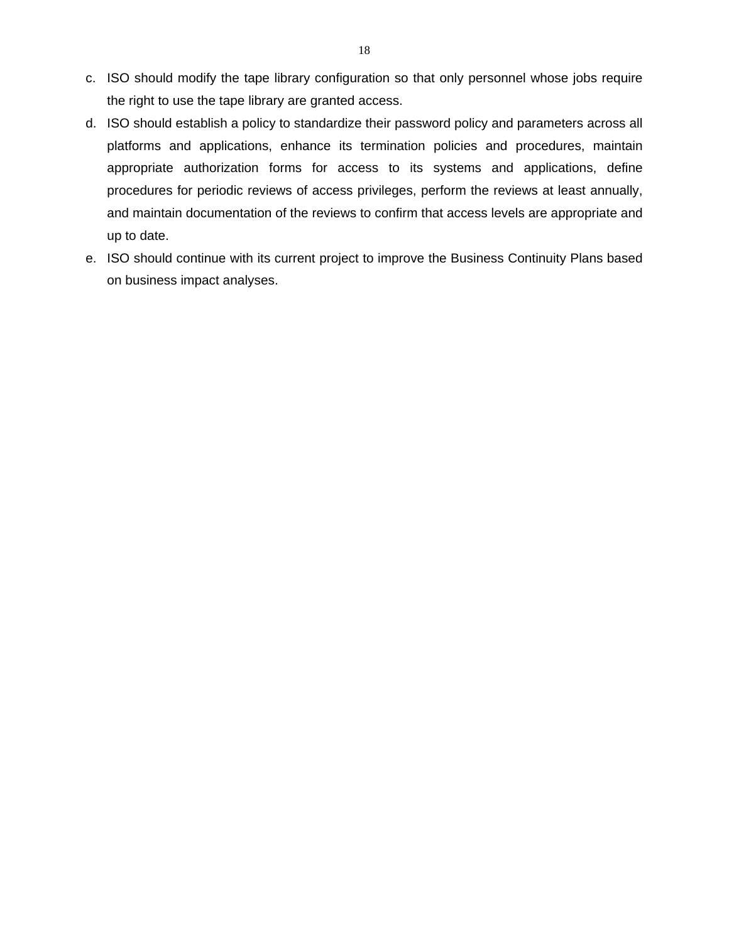- c. ISO should modify the tape library configuration so that only personnel whose jobs require the right to use the tape library are granted access.
- d. ISO should establish a policy to standardize their password policy and parameters across all platforms and applications, enhance its termination policies and procedures, maintain appropriate authorization forms for access to its systems and applications, define procedures for periodic reviews of access privileges, perform the reviews at least annually, and maintain documentation of the reviews to confirm that access levels are appropriate and up to date.
- e. ISO should continue with its current project to improve the Business Continuity Plans based on business impact analyses.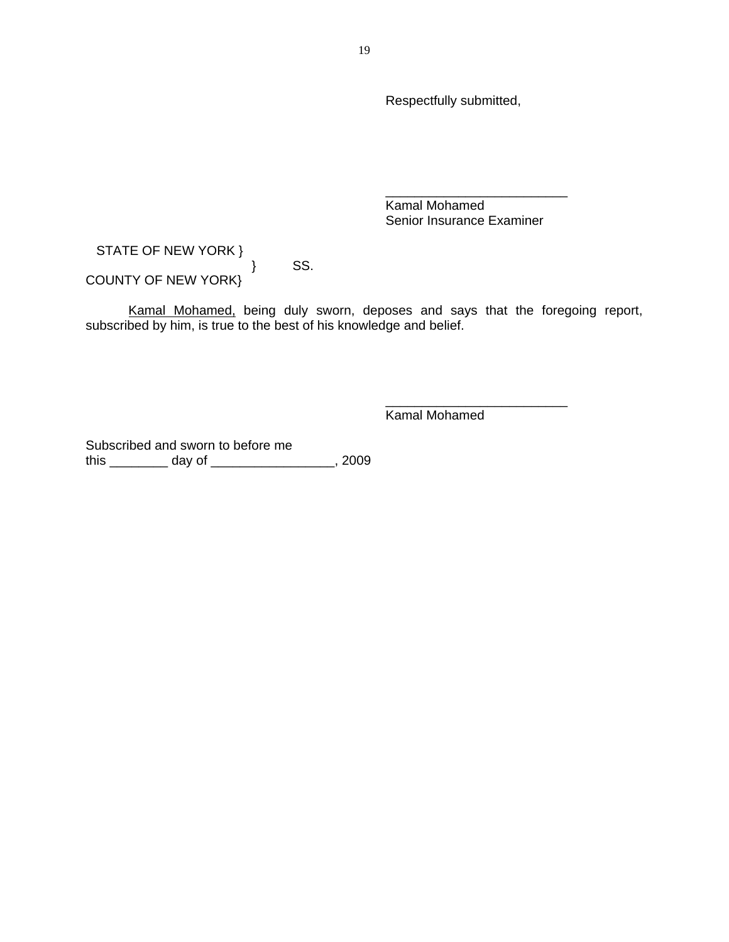Respectfully submitted,

 Kamal Mohamed Senior Insurance Examiner

\_\_\_\_\_\_\_\_\_\_\_\_\_\_\_\_\_\_\_\_\_\_\_\_\_

\_\_\_\_\_\_\_\_\_\_\_\_\_\_\_\_\_\_\_\_\_\_\_\_\_

STATE OF NEW YORK }

} SS.

COUNTY OF NEW YORK}

Kamal Mohamed, being duly sworn, deposes and says that the foregoing report, subscribed by him, is true to the best of his knowledge and belief.

Kamal Mohamed

Subscribed and sworn to before me this \_\_\_\_\_\_\_\_ day of \_\_\_\_\_\_\_\_\_\_\_\_\_\_\_\_\_, 2009